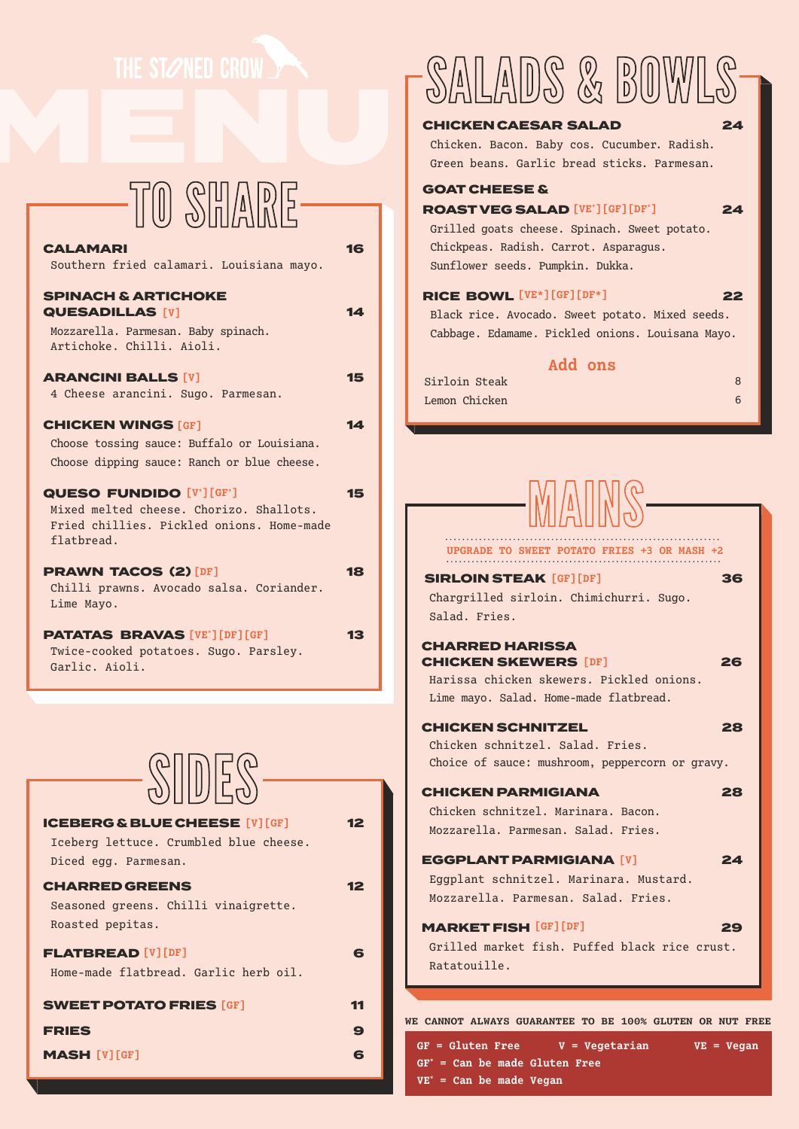## TO SHARE

| <b>CALAMARI</b><br>Southern fried calamari. Louisiana mayo.                                                                          | 16 |
|--------------------------------------------------------------------------------------------------------------------------------------|----|
| <b>SPINACH &amp; ARTICHOKE</b><br><b>QUESADILLAS [V]</b><br>Mozzarella. Parmesan. Baby spinach.<br>Artichoke. Chilli. Aioli.         | 14 |
| <b>ARANCINI BALLS [V]</b><br>4 Cheese arancini. Sugo. Parmesan.                                                                      | 15 |
| <b>CHICKEN WINGS [GF]</b><br>Choose tossing sauce: Buffalo or Louisiana.<br>Choose dipping sauce: Ranch or blue cheese.              | 14 |
| <b>QUESO FUNDIDO [V'][GF']</b><br>Mixed melted cheese. Chorizo. Shallots.<br>Fried chillies. Pickled onions. Home-made<br>flathread. | 15 |
| <b>PRAWN TACOS (2) [DF]</b><br>Chilli prawns. Avocado salsa. Coriander.<br>Lime Mayo.                                                | 18 |
| <b>PATATAS BRAVAS</b> [VE*] [DF] [GF]<br>Twice-cooked potatoes. Sugo. Parsley.<br>Garlic. Aioli.                                     | 13 |
|                                                                                                                                      |    |
| $\mathbb{S}$ in ES-                                                                                                                  |    |
| <b>ICEBERG &amp; BLUE CHEESE [V] [GF]</b><br>Iceberg lettuce. Crumbled blue cheese.<br>Diced egg. Parmesan.                          | 12 |
| <b>CHARRED GREENS</b><br>Seasoned greens. Chilli vinaigrette.<br>Roasted pepitas.                                                    | 12 |
| <b>FLATBREAD</b> [V] [DF]<br>Home-made flatbread. Garlic herb oil.                                                                   | 6  |
| <b>SWEET POTATO FRIES [GF]</b>                                                                                                       | 11 |
| <b>FRIES</b>                                                                                                                         | 9  |
| <b>MASH [V] [GF]</b>                                                                                                                 | 6  |

# THE STANED CROW AND SALADS & BOWLS

### CHICKEN CAESAR SALAD 24

Chicken. Bacon. Baby cos. Cucumber. Radish. Green beans. Garlic bread sticks. Parmesan.

### GOAT CHEESE &

**ROAST VEG SALAD** [VE\*] [GF] [DF\*] **24** Grilled goats cheese. Spinach. Sweet potato. Chickpeas. Radish. Carrot. Asparagus. Sunflower seeds. Pumpkin. Dukka.

#### **RICE BOWL** [VE\*][GF][DF\*] 22

Black rice. Avocado. Sweet potato. Mixed seeds. Cabbage. Edamame. Pickled onions. Louisana Mayo.

### **Add ons**

| Sirloin Steak |  |
|---------------|--|
| Lemon Chicken |  |

| PGRADE TO SWEET POTATO FRIES +3 OR MASH +2                                                                                                  |    |
|---------------------------------------------------------------------------------------------------------------------------------------------|----|
| <b>SIRLOIN STEAK [GF][DF]</b><br>Chargrilled sirloin. Chimichurri. Sugo.<br>Salad. Fries.                                                   | 36 |
| <b>CHARRED HARISSA</b><br><b>CHICKEN SKEWERS [DF]</b><br>Harissa chicken skewers. Pickled onions.<br>Lime mayo. Salad. Home-made flatbread. | 26 |
| <b>CHICKEN SCHNITZEL</b><br>Chicken schnitzel. Salad. Fries.<br>Choice of sauce: mushroom, peppercorn or gravy.                             | 28 |
| <b>CHICKEN PARMIGIANA</b><br>Chicken schnitzel. Marinara. Bacon.<br>Mozzarella, Parmesan, Salad, Fries,                                     | 28 |
| <b>EGGPLANT PARMIGIANA [V]</b><br>Eggplant schnitzel. Marinara. Mustard.<br>Mozzarella. Parmesan. Salad. Fries.                             | 24 |
| <b>MARKET FISH [GF] [DF]</b><br>Grilled market fish. Puffed black rice crust.<br>Ratatouille.                                               | 29 |
| <b>WE CANNOT ALWAYS GUARANTEE TO BE 100% GLUTEN OR NUT FREE</b><br>$GF = Gluten Free$<br>$V = Veqetarian$<br>$VE = Vegan$                   |    |

**GF\* = Can be made Gluten Free VE\* = Can be made Vegan**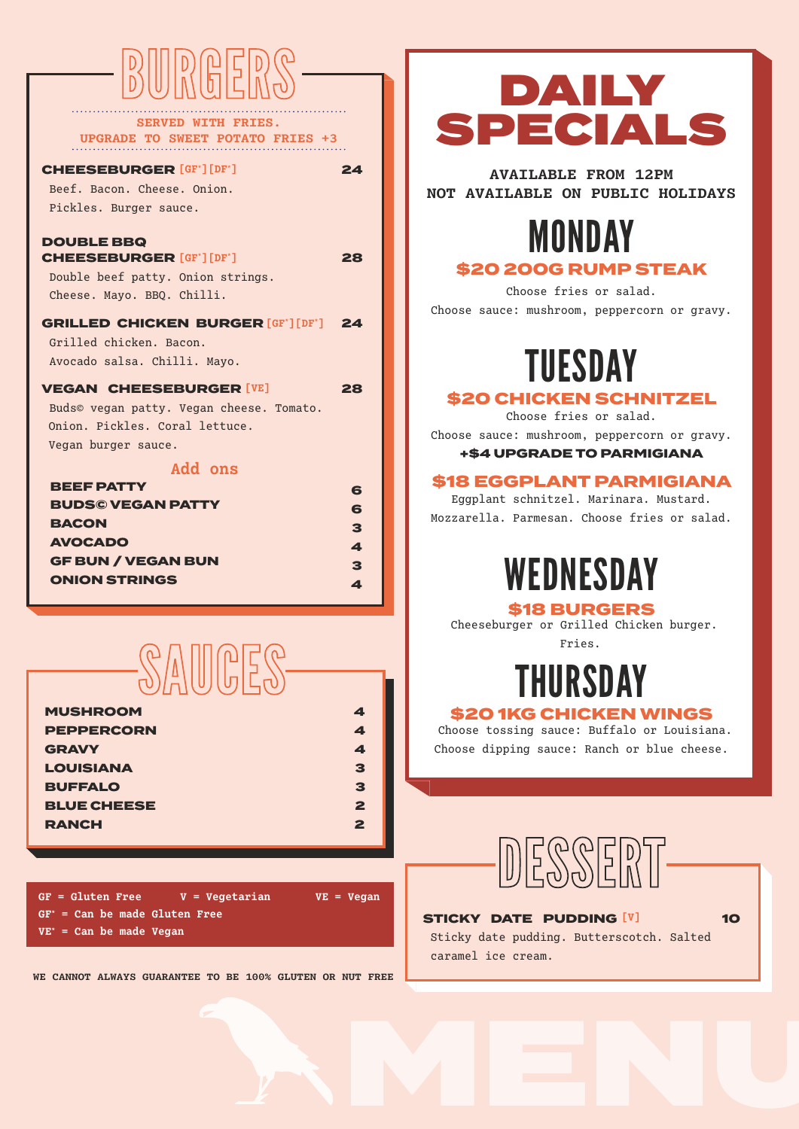# **BURGERS**

**SERVED WITH FRIES. UPGRADE TO SWEET POTATO FRIES +3** 

#### **CHEESEBURGER** [GF\*] [DF\*] 24

Beef. Bacon. Cheese. Onion. Pickles. Burger sauce.

### DOUBLE BBQ **CHEESEBURGER** [GF\*] [DF\*] 28

Double beef patty. Onion strings. Cheese. Mayo. BBQ. Chilli.

### **GRILLED CHICKEN BURGER [GF\*] [DF\*] 24**

Grilled chicken. Bacon. Avocado salsa. Chilli. Mayo.

#### **VEGAN CHEESEBURGER [VE]** 28

Buds© vegan patty. Vegan cheese. Tomato. Onion. Pickles. Coral lettuce. Vegan burger sauce.

### **Add ons**

| BEEF PATTY                | 6                |
|---------------------------|------------------|
| <b>BUDSC VEGAN PATTY</b>  | 6                |
| <b>BACON</b>              | 3                |
| <b>AVOCADO</b>            | $\blacktriangle$ |
| <b>GF BUN / VEGAN BUN</b> | 3                |
| <b>ONION STRINGS</b>      | 4                |
|                           |                  |



| <b>MUSHROOM</b>    | 4            |
|--------------------|--------------|
| <b>PEPPERCORN</b>  | 4            |
| <b>GRAVY</b>       | 4            |
| <b>LOUISIANA</b>   | 3            |
| <b>BUFFALO</b>     | 3            |
| <b>BLUE CHEESE</b> | $\mathbf{z}$ |
| <b>RANCH</b>       | 2            |

**GF = Gluten Free V = Vegetarian VE = Vegan GF\* = Can be made Gluten Free VE\* = Can be made Vegan**

**WE CANNOT ALWAYS GUARANTEE TO BE 100% GLUTEN OR NUT FREE**

### DAILY SPECIALS

**AVAILABLE FROM 12PM NOT AVAILABLE ON PUBLIC HOLIDAYS**

### MONDAY

### \$20 200G RUMP STEAK

Choose fries or salad. Choose sauce: mushroom, peppercorn or gravy.

## TUESDAY

### \$20 CHICKEN SCHNITZEL

Choose fries or salad.

Choose sauce: mushroom, peppercorn or gravy. +\$4 UPGRADE TO PARMIGIANA

### \$18 EGGPLANT PARMIGIANA

Eggplant schnitzel. Marinara. Mustard. Mozzarella. Parmesan. Choose fries or salad.

## **WEDNESDAY**

### \$18 BURGERS

Cheeseburger or Grilled Chicken burger. Fries.

### **HURSDAY**

### \$20 1KG CHICKEN WINGS

Choose tossing sauce: Buffalo or Louisiana. Choose dipping sauce: Ranch or blue cheese.



### STICKY DATE PUDDING <sup>[V]</sup> 10

Sticky date pudding. Butterscotch. Salted caramel ice cream.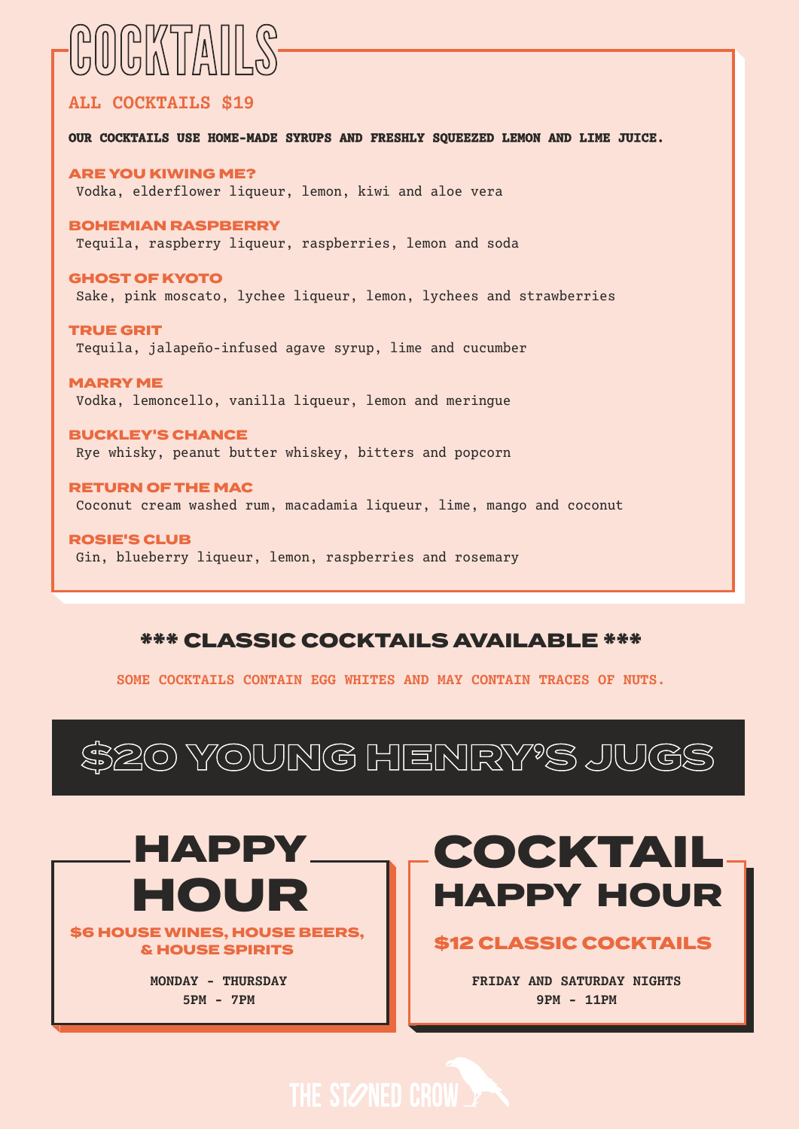## COCKTAILS

### **ALL COCKTAILS \$19**

**OUR COCKTAILS USE HOME-MADE SYRUPS AND FRESHLY SQUEEZED LEMON AND LIME JUICE.**

ARE YOU KIWING ME? Vodka, elderflower liqueur, lemon, kiwi and aloe vera

#### BOHEMIAN RASPBERRY

Tequila, raspberry liqueur, raspberries, lemon and soda

GHOST OF KYOTO Sake, pink moscato, lychee liqueur, lemon, lychees and strawberries

TRUE GRIT Tequila, jalapeño-infused agave syrup, lime and cucumber

MARRY ME Vodka, lemoncello, vanilla liqueur, lemon and meringue

BUCKLEY'S CHANCE Rye whisky, peanut butter whiskey, bitters and popcorn

RETURN OF THE MAC Coconut cream washed rum, macadamia liqueur, lime, mango and coconut

ROSIE'S CLUB Gin, blueberry liqueur, lemon, raspberries and rosemary

### \*\*\* CLASSIC COCKTAILS AVAILABLE \*\*\*

**SOME COCKTAILS CONTAIN EGG WHITES AND MAY CONTAIN TRACES OF NUTS.**

\$20 YOUNG HENRY'S JUGS



\$6 HOUSE WINES, HOUSE BEERS, \$12 CLASSIC COCKTAILS & HOUSE SPIRITS

> **MONDAY - THURSDAY 5PM - 7PM**

### COCKTAIL HAPPY HOUR

**FRIDAY AND SATURDAY NIGHTS 9PM - 11PM**